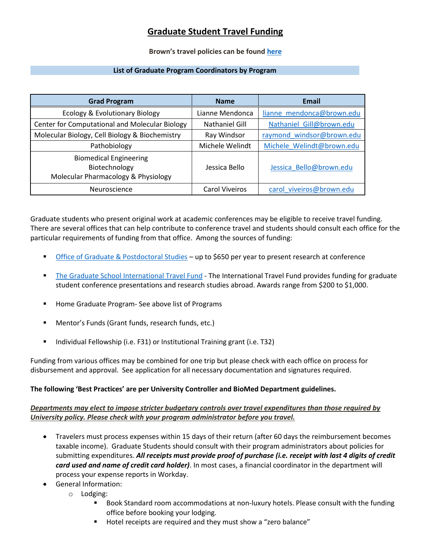## **Graduate Student Travel Funding**

**Brown's travel policies can be found [here](https://www.brown.edu/about/administration/policies/)**

## **List of Graduate Program Coordinators by Program**

| <b>Grad Program</b>                                                                   | <b>Name</b>           | Email                     |
|---------------------------------------------------------------------------------------|-----------------------|---------------------------|
| <b>Ecology &amp; Evolutionary Biology</b>                                             | Lianne Mendonca       | lianne mendonca@brown.edu |
| Center for Computational and Molecular Biology                                        | Nathaniel Gill        | Nathaniel Gill@brown.edu  |
| Molecular Biology, Cell Biology & Biochemistry                                        | Ray Windsor           | raymond windsor@brown.edu |
| Pathobiology                                                                          | Michele Welindt       | Michele Welindt@brown.edu |
| <b>Biomedical Engineering</b><br>Biotechnology<br>Molecular Pharmacology & Physiology | Jessica Bello         | Jessica_Bello@brown.edu   |
| Neuroscience                                                                          | <b>Carol Viveiros</b> | carol viveiros@brown.edu  |

Graduate students who present original work at academic conferences may be eligible to receive travel funding. There are several offices that can help contribute to conference travel and students should consult each office for the particular requirements of funding from that office. Among the sources of funding:

- **Diffice of Graduate & Postdoctoral Studies up to \$650 per year to present research at conference**
- [The Graduate School International Travel Fund](https://www.brown.edu/academics/gradschool/financing-support/phd-funding/internal-funding-appointments/international-travel-fund) The International Travel Fund provides funding for graduate student conference presentations and research studies abroad. Awards range from \$200 to \$1,000.
- Home Graduate Program- See above list of Programs
- Mentor's Funds (Grant funds, research funds, etc.)
- **Individual Fellowship (i.e. F31) or Institutional Training grant (i.e. T32)**

Funding from various offices may be combined for one trip but please check with each office on process for disbursement and approval. See application for all necessary documentation and signatures required.

## **The following 'Best Practices' are per University Controller and BioMed Department guidelines.**

*Departments may elect to impose stricter budgetary controls over travel expenditures than those required by University policy. Please check with your program administrator before you travel.*

- Travelers must process expenses within 15 days of their return (after 60 days the reimbursement becomes taxable income). Graduate Students should consult with their program administrators about policies for submitting expenditures. *All receipts must provide proof of purchase (i.e. receipt with last 4 digits of credit card used and name of credit card holder)*. In most cases, a financial coordinator in the department will process your expense reports in Workday.
- General Information:
	- o Lodging:
		- Book Standard room accommodations at non-luxury hotels. Please consult with the funding office before booking your lodging.
		- Hotel receipts are required and they must show a "zero balance"